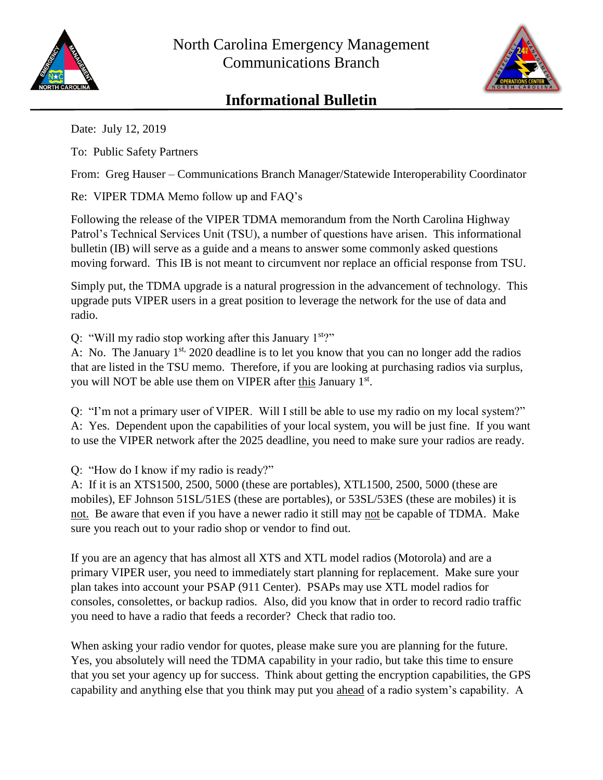



## **Informational Bulletin**

Date: July 12, 2019

To: Public Safety Partners

From: Greg Hauser – Communications Branch Manager/Statewide Interoperability Coordinator

Re: VIPER TDMA Memo follow up and FAQ's

Following the release of the VIPER TDMA memorandum from the North Carolina Highway Patrol's Technical Services Unit (TSU), a number of questions have arisen. This informational bulletin (IB) will serve as a guide and a means to answer some commonly asked questions moving forward. This IB is not meant to circumvent nor replace an official response from TSU.

Simply put, the TDMA upgrade is a natural progression in the advancement of technology. This upgrade puts VIPER users in a great position to leverage the network for the use of data and radio.

Q: "Will my radio stop working after this January  $1<sup>st</sup>$ "

A: No. The January  $1^{st}$ , 2020 deadline is to let you know that you can no longer add the radios that are listed in the TSU memo. Therefore, if you are looking at purchasing radios via surplus, you will NOT be able use them on VIPER after this January 1<sup>st</sup>.

Q: "I'm not a primary user of VIPER. Will I still be able to use my radio on my local system?" A: Yes. Dependent upon the capabilities of your local system, you will be just fine. If you want to use the VIPER network after the 2025 deadline, you need to make sure your radios are ready.

Q: "How do I know if my radio is ready?"

A: If it is an XTS1500, 2500, 5000 (these are portables), XTL1500, 2500, 5000 (these are mobiles), EF Johnson 51SL/51ES (these are portables), or 53SL/53ES (these are mobiles) it is not. Be aware that even if you have a newer radio it still may not be capable of TDMA. Make sure you reach out to your radio shop or vendor to find out.

If you are an agency that has almost all XTS and XTL model radios (Motorola) and are a primary VIPER user, you need to immediately start planning for replacement. Make sure your plan takes into account your PSAP (911 Center). PSAPs may use XTL model radios for consoles, consolettes, or backup radios. Also, did you know that in order to record radio traffic you need to have a radio that feeds a recorder? Check that radio too.

When asking your radio vendor for quotes, please make sure you are planning for the future. Yes, you absolutely will need the TDMA capability in your radio, but take this time to ensure that you set your agency up for success. Think about getting the encryption capabilities, the GPS capability and anything else that you think may put you ahead of a radio system's capability. A